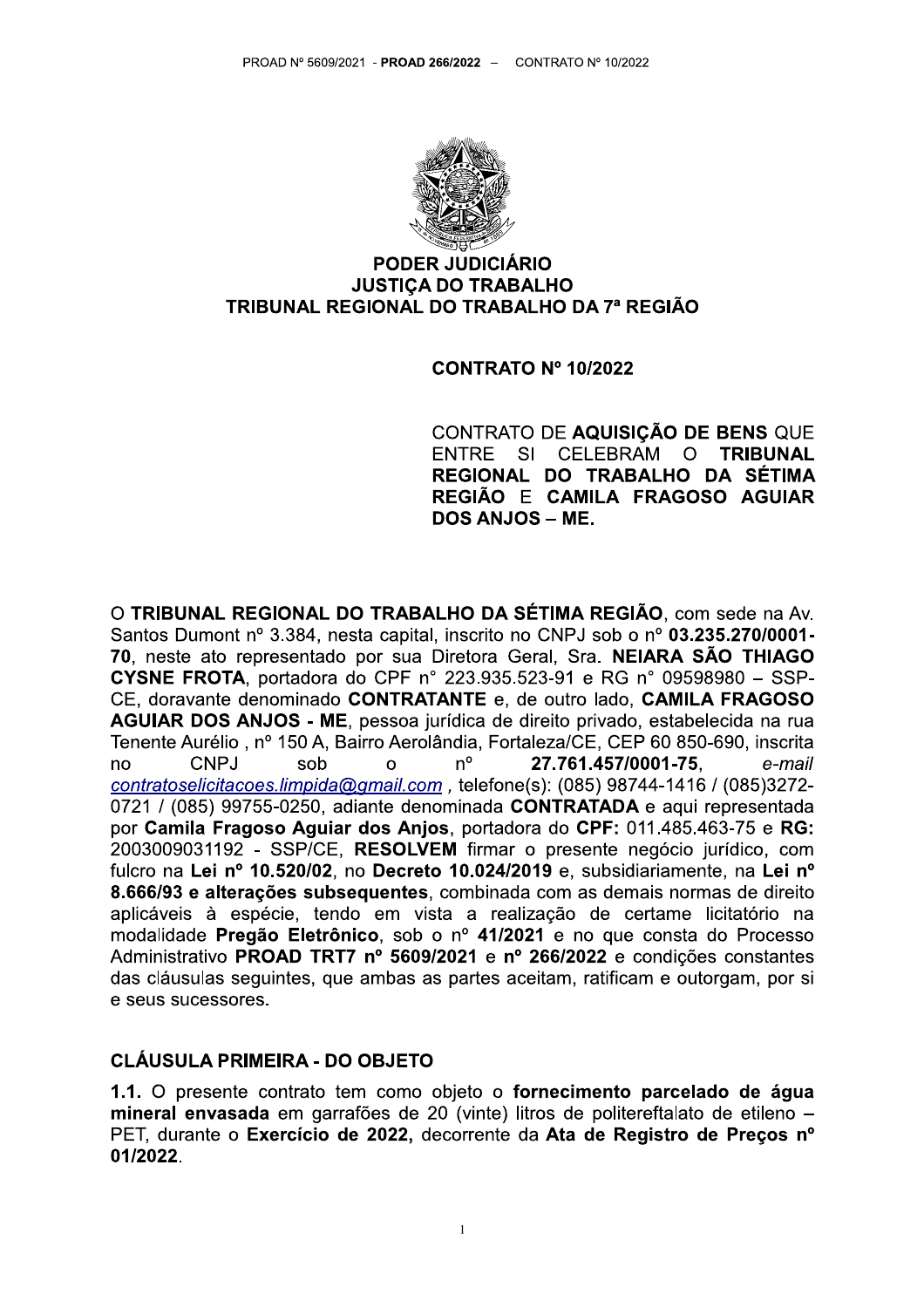

## **PODER JUDICIÁRIO JUSTICA DO TRABALHO** TRIBUNAL REGIONAL DO TRABALHO DA 7ª REGIÃO

#### **CONTRATO Nº 10/2022**

CONTRATO DE AQUISIÇÃO DE BENS QUE SI CELEBRAM **ENTRE**  $\Omega$ **TRIBUNAL** REGIONAL DO TRABALHO DA SÉTIMA REGIÃO E CAMILA FRAGOSO AGUIAR **DOS ANJOS - ME.** 

O TRIBUNAL REGIONAL DO TRABALHO DA SÉTIMA REGIÃO, com sede na Av. Santos Dumont nº 3.384, nesta capital, inscrito no CNPJ sob o nº 03.235.270/0001-70, neste ato representado por sua Diretora Geral, Sra. NEIARA SÃO THIAGO **CYSNE FROTA**, portadora do CPF n° 223.935.523-91 e RG n° 09598980 - SSP-CE, doravante denominado CONTRATANTE e, de outro lado, CAMILA FRAGOSO AGUIAR DOS ANJOS - ME, pessoa jurídica de direito privado, estabelecida na rua Tenente Aurélio, nº 150 A, Bairro Aerolândia, Fortaleza/CE, CEP 60 850-690, inscrita CNPJ sob  $n^{\circ}$ 27.761.457/0001-75. e-mail  $n<sub>0</sub>$  $\Omega$ contratoselicitacoes.limpida@gmail.com, telefone(s): (085) 98744-1416 / (085)3272-0721 / (085) 99755-0250, adiante denominada CONTRATADA e aqui representada por Camila Fragoso Aguiar dos Anjos, portadora do CPF: 011.485.463-75 e RG: 2003009031192 - SSP/CE, RESOLVEM firmar o presente negócio jurídico, com fulcro na Lei nº 10.520/02, no Decreto 10.024/2019 e, subsidiariamente, na Lei nº 8.666/93 e alterações subsequentes, combinada com as demais normas de direito aplicáveis à espécie, tendo em vista a realização de certame licitatório na modalidade Pregão Eletrônico, sob o nº 41/2021 e no que consta do Processo Administrativo PROAD TRT7 nº 5609/2021 e nº 266/2022 e condições constantes das cláusulas seguintes, que ambas as partes aceitam, ratificam e outorgam, por si e seus sucessores.

## **CLÁUSULA PRIMEIRA - DO OBJETO**

1.1. O presente contrato tem como objeto o fornecimento parcelado de água mineral envasada em garrafões de 20 (vinte) litros de politereftalato de etileno -PET, durante o Exercício de 2022, decorrente da Ata de Registro de Preços nº 01/2022.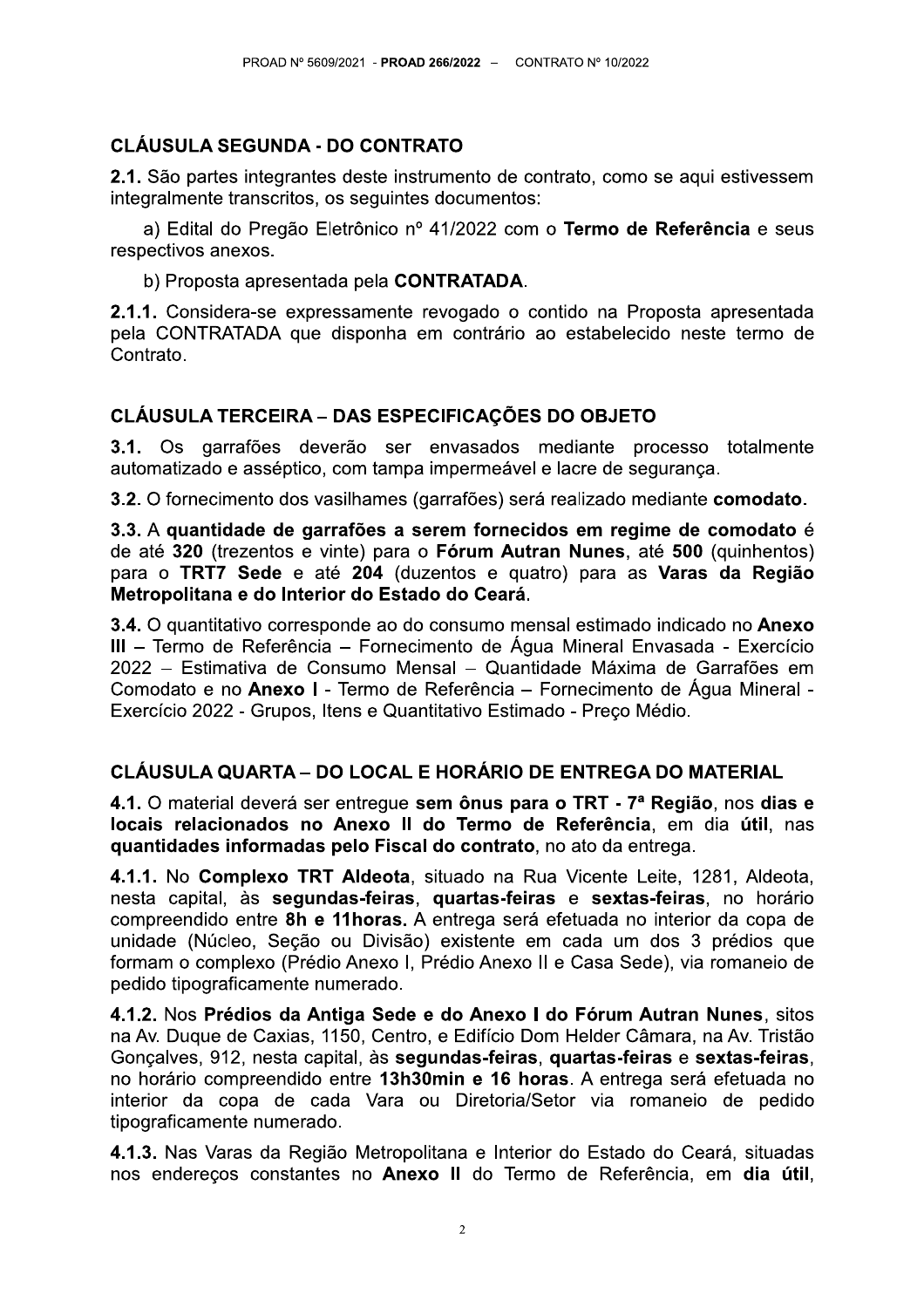# **CLÁUSULA SEGUNDA - DO CONTRATO**

2.1. São partes integrantes deste instrumento de contrato, como se aqui estivessem integralmente transcritos, os seguintes documentos:

a) Edital do Pregão Eletrônico nº 41/2022 com o Termo de Referência e seus respectivos anexos.

b) Proposta apresentada pela CONTRATADA.

2.1.1. Considera-se expressamente revogado o contido na Proposta apresentada pela CONTRATADA que disponha em contrário ao estabelecido neste termo de Contrato.

## **CLÁUSULA TERCEIRA – DAS ESPECIFICAÇÕES DO OBJETO**

3.1. Os garrafões deverão ser envasados mediante processo totalmente automatizado e asséptico, com tampa impermeável e lacre de segurança.

3.2. O fornecimento dos vasilhames (garrafões) será realizado mediante comodato.

3.3. A quantidade de garrafões a serem fornecidos em regime de comodato é de até 320 (trezentos e vinte) para o Fórum Autran Nunes, até 500 (quinhentos) para o TRT7 Sede e até 204 (duzentos e quatro) para as Varas da Região Metropolitana e do Interior do Estado do Ceará.

3.4. O quantitativo corresponde ao do consumo mensal estimado indicado no Anexo III - Termo de Referência - Fornecimento de Água Mineral Envasada - Exercício 2022 – Estimativa de Consumo Mensal – Quantidade Máxima de Garrafões em Comodato e no Anexo I - Termo de Referência – Fornecimento de Água Mineral -Exercício 2022 - Grupos, Itens e Quantitativo Estimado - Preco Médio.

# CLÁUSULA QUARTA – DO LOCAL E HORÁRIO DE ENTREGA DO MATERIAL

4.1. O material deverá ser entregue sem ônus para o TRT - 7ª Região, nos dias e locais relacionados no Anexo II do Termo de Referência, em dia útil, nas guantidades informadas pelo Fiscal do contrato, no ato da entrega.

4.1.1. No Complexo TRT Aldeota, situado na Rua Vicente Leite, 1281, Aldeota, nesta capital, às segundas-feiras, quartas-feiras e sextas-feiras, no horário compreendido entre 8h e 11 horas. A entrega será efetuada no interior da copa de unidade (Núcleo, Seção ou Divisão) existente em cada um dos 3 prédios que formam o complexo (Prédio Anexo I, Prédio Anexo II e Casa Sede), via romaneio de pedido tipograficamente numerado.

4.1.2. Nos Prédios da Antiga Sede e do Anexo I do Fórum Autran Nunes, sitos na Av. Duque de Caxias, 1150, Centro, e Edifício Dom Helder Câmara, na Av. Tristão Gonçalves, 912, nesta capital, às segundas-feiras, quartas-feiras e sextas-feiras, no horário compreendido entre 13h30min e 16 horas. A entrega será efetuada no interior da copa de cada Vara ou Diretoria/Setor via romaneio de pedido tipograficamente numerado.

4.1.3. Nas Varas da Região Metropolitana e Interior do Estado do Ceará, situadas nos endereços constantes no Anexo II do Termo de Referência, em dia útil,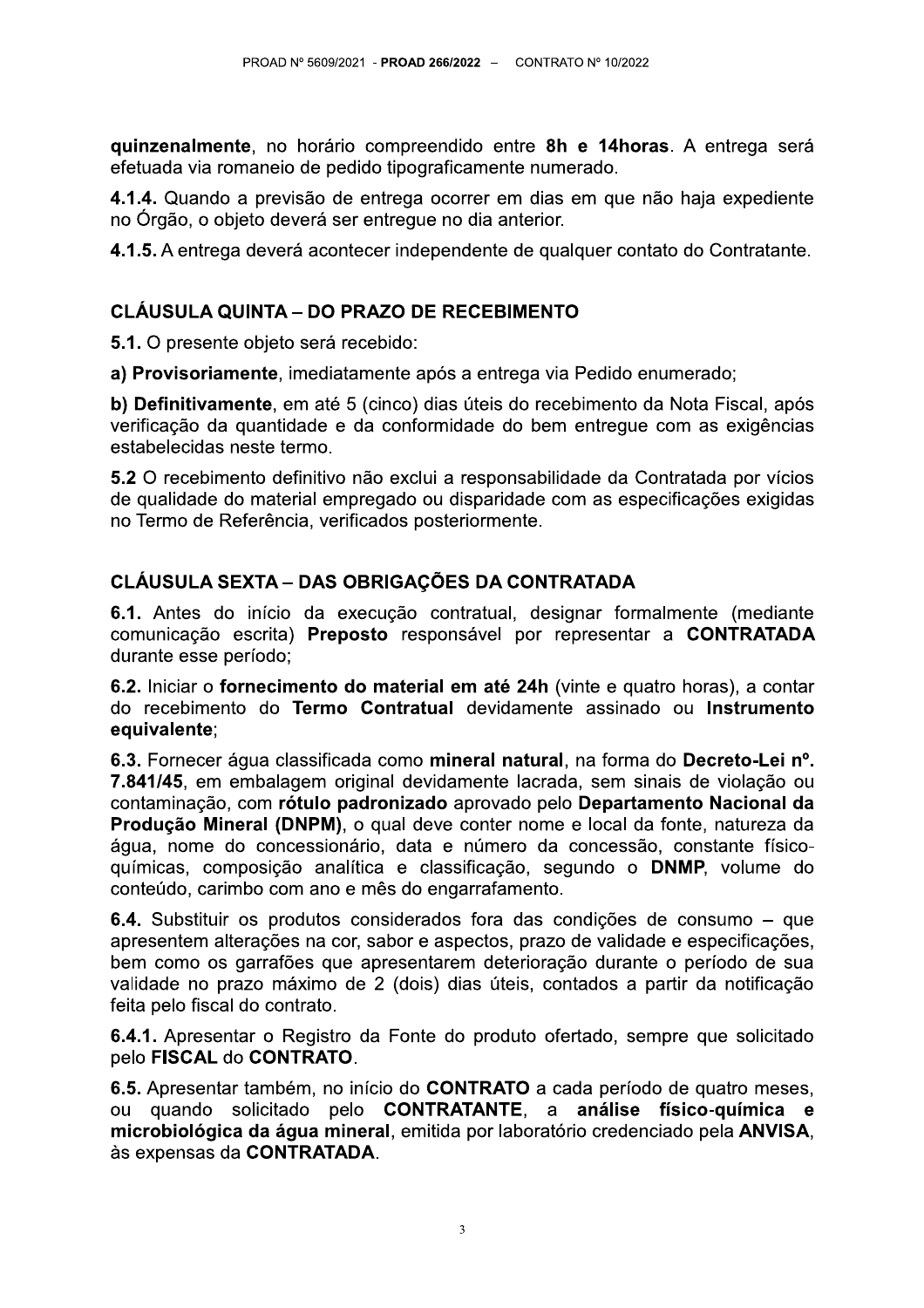quinzenalmente, no horário compreendido entre 8h e 14horas. A entrega será efetuada via romaneio de pedido tipograficamente numerado.

4.1.4. Quando a previsão de entrega ocorrer em dias em que não haja expediente no Órgão, o objeto deverá ser entregue no dia anterior.

4.1.5. A entrega deverá acontecer independente de qualquer contato do Contratante.

# **CLÁUSULA QUINTA – DO PRAZO DE RECEBIMENTO**

5.1. O presente objeto será recebido:

a) Provisoriamente, imediatamente após a entrega via Pedido enumerado;

b) Definitivamente, em até 5 (cinco) dias úteis do recebimento da Nota Fiscal, após verificação da quantidade e da conformidade do bem entregue com as exigências estabelecidas neste termo.

5.2 O recebimento definitivo não exclui a responsabilidade da Contratada por vícios de qualidade do material empregado ou disparidade com as especificações exigidas no Termo de Referência, verificados posteriormente.

# **CLÁUSULA SEXTA - DAS OBRIGAÇÕES DA CONTRATADA**

6.1. Antes do início da execução contratual, designar formalmente (mediante comunicação escrita) Preposto responsável por representar a CONTRATADA durante esse período:

6.2. Iniciar o fornecimento do material em até 24h (vinte e quatro horas), a contar do recebimento do Termo Contratual devidamente assinado ou Instrumento equivalente;

6.3. Fornecer áqua classificada como mineral natural, na forma do Decreto-Lei nº. 7.841/45, em embalagem original devidamente lacrada, sem sinais de violação ou contaminação, com rótulo padronizado aprovado pelo Departamento Nacional da Produção Mineral (DNPM), o qual deve conter nome e local da fonte, natureza da água, nome do concessionário, data e número da concessão, constante físicoquímicas, composição analítica e classificação, segundo o DNMP, volume do conteúdo, carimbo com ano e mês do engarrafamento.

6.4. Substituir os produtos considerados fora das condições de consumo – que apresentem alterações na cor, sabor e aspectos, prazo de validade e especificações, bem como os garrafões que apresentarem deterioração durante o período de sua validade no prazo máximo de 2 (dois) dias úteis, contados a partir da notificação feita pelo fiscal do contrato.

6.4.1. Apresentar o Registro da Fonte do produto ofertado, sempre que solicitado pelo FISCAL do CONTRATO.

6.5. Apresentar também, no início do CONTRATO a cada período de quatro meses, ou quando solicitado pelo CONTRATANTE, a análise físico-química e microbiológica da água mineral, emitida por laboratório credenciado pela ANVISA. às expensas da CONTRATADA.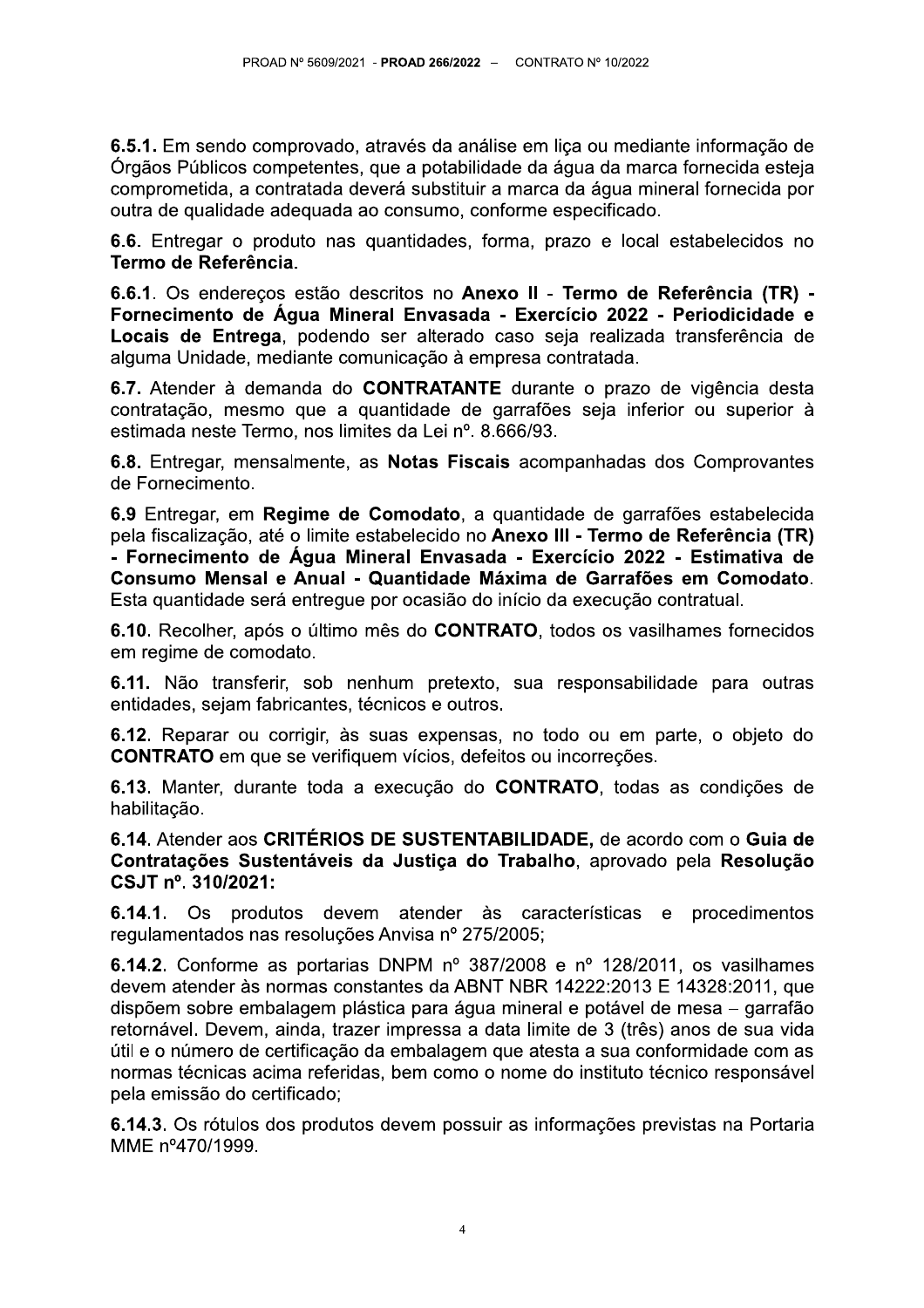6.5.1. Em sendo comprovado, através da análise em liça ou mediante informação de Órgãos Públicos competentes, que a potabilidade da água da marca fornecida esteja comprometida, a contratada deverá substituir a marca da água mineral fornecida por outra de qualidade adequada ao consumo, conforme especificado.

6.6. Entregar o produto nas quantidades, forma, prazo e local estabelecidos no Termo de Referência.

6.6.1. Os enderecos estão descritos no Anexo II - Termo de Referência (TR) -Fornecimento de Água Mineral Envasada - Exercício 2022 - Periodicidade e Locais de Entrega, podendo ser alterado caso seja realizada transferência de alguma Unidade, mediante comunicação à empresa contratada.

6.7. Atender à demanda do CONTRATANTE durante o prazo de vigência desta contratação, mesmo que a quantidade de garrafões seja inferior ou superior à estimada neste Termo, nos limites da Lei nº. 8.666/93.

6.8. Entregar, mensalmente, as Notas Fiscais acompanhadas dos Comprovantes de Fornecimento.

6.9 Entregar, em Regime de Comodato, a quantidade de garrafões estabelecida pela fiscalização, até o limite estabelecido no Anexo III - Termo de Referência (TR) - Fornecimento de Água Mineral Envasada - Exercício 2022 - Estimativa de Consumo Mensal e Anual - Quantidade Máxima de Garrafões em Comodato. Esta quantidade será entregue por ocasião do início da execução contratual.

6.10. Recolher, após o último mês do CONTRATO, todos os vasilhames fornecidos em regime de comodato.

6.11. Não transferir, sob nenhum pretexto, sua responsabilidade para outras entidades, sejam fabricantes, técnicos e outros.

6.12. Reparar ou corrigir, às suas expensas, no todo ou em parte, o objeto do **CONTRATO** em que se verifiquem vícios, defeitos ou incorreções.

6.13. Manter, durante toda a execução do CONTRATO, todas as condições de habilitacão.

6.14. Atender aos CRITÉRIOS DE SUSTENTABILIDADE, de acordo com o Guia de Contratações Sustentáveis da Justiça do Trabalho, aprovado pela Resolução CSJT nº. 310/2021:

6.14.1. Os produtos devem atender às características e procedimentos regulamentados nas resoluções Anvisa nº 275/2005;

6.14.2. Conforme as portarias DNPM nº 387/2008 e nº 128/2011, os vasilhames devem atender às normas constantes da ABNT NBR 14222:2013 E 14328:2011, que dispõem sobre embalagem plástica para água mineral e potável de mesa – garrafão retornável. Devem, ainda, trazer impressa a data limite de 3 (três) anos de sua vida útil e o número de certificação da embalagem que atesta a sua conformidade com as normas técnicas acima referidas, bem como o nome do instituto técnico responsável pela emissão do certificado:

6.14.3. Os rótulos dos produtos devem possuir as informações previstas na Portaria MME nº470/1999.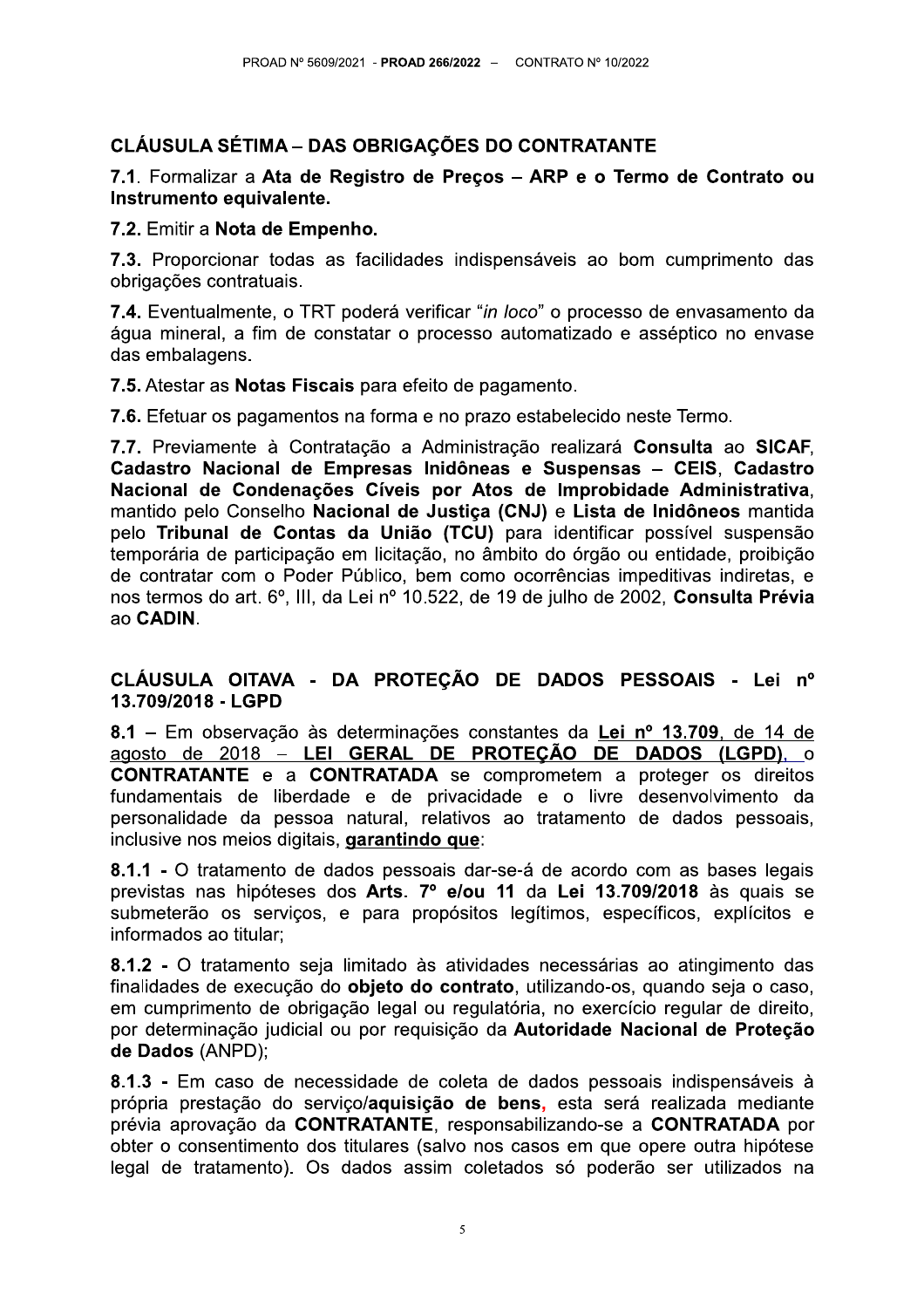# **CLÁUSULA SÉTIMA - DAS OBRIGAÇÕES DO CONTRATANTE**

## 7.1. Formalizar a Ata de Registro de Preços – ARP e o Termo de Contrato ou Instrumento equivalente.

#### 7.2. Emitir a Nota de Empenho.

7.3. Proporcionar todas as facilidades indispensáveis ao bom cumprimento das obrigações contratuais.

7.4. Eventualmente, o TRT poderá verificar "in loco" o processo de envasamento da água mineral, a fim de constatar o processo automatizado e asséptico no envase das embalagens.

#### 7.5. Atestar as Notas Fiscais para efeito de pagamento.

7.6. Efetuar os pagamentos na forma e no prazo estabelecido neste Termo.

7.7. Previamente à Contratação a Administração realizará Consulta ao SICAF, Cadastro Nacional de Empresas Inidôneas e Suspensas - CEIS. Cadastro Nacional de Condenações Cíveis por Atos de Improbidade Administrativa. mantido pelo Conselho Nacional de Justiça (CNJ) e Lista de Inidôneos mantida pelo Tribunal de Contas da União (TCU) para identificar possível suspensão temporária de participação em licitação, no âmbito do órgão ou entidade, proibição de contratar com o Poder Público, bem como ocorrências impeditivas indiretas, e nos termos do art. 6º, III, da Lei nº 10.522, de 19 de julho de 2002, Consulta Prévia ao CADIN.

## CLÁUSULA OITAVA - DA PROTECÃO DE DADOS PESSOAIS - Lei nº 13.709/2018 - LGPD

8.1 - Em observação às determinações constantes da Lei nº 13.709, de 14 de agosto de 2018 – LEI GERAL DE PROTEÇÃO DE DADOS (LGPD), o **CONTRATANTE** e a **CONTRATADA** se comprometem a proteger os direitos fundamentais de liberdade e de privacidade e o livre desenvolvimento da personalidade da pessoa natural, relativos ao tratamento de dados pessoais, inclusive nos meios digitais, garantindo que:

8.1.1 - O tratamento de dados pessoais dar-se-á de acordo com as bases legais previstas nas hipóteses dos Arts. 7º e/ou 11 da Lei 13.709/2018 às quais se submeterão os servicos, e para propósitos legítimos, específicos, explícitos e informados ao titular:

8.1.2 - O tratamento seja limitado às atividades necessárias ao atingimento das finalidades de execução do objeto do contrato, utilizando-os, quando seja o caso, em cumprimento de obrigação legal ou regulatória, no exercício regular de direito, por determinação judicial ou por requisição da Autoridade Nacional de Proteção de Dados (ANPD);

8.1.3 - Em caso de necessidade de coleta de dados pessoais indispensáveis à própria prestação do servico/aquisicão de bens, esta será realizada mediante prévia aprovação da CONTRATANTE, responsabilizando-se a CONTRATADA por obter o consentimento dos titulares (salvo nos casos em que opere outra hipótese legal de tratamento). Os dados assim coletados só poderão ser utilizados na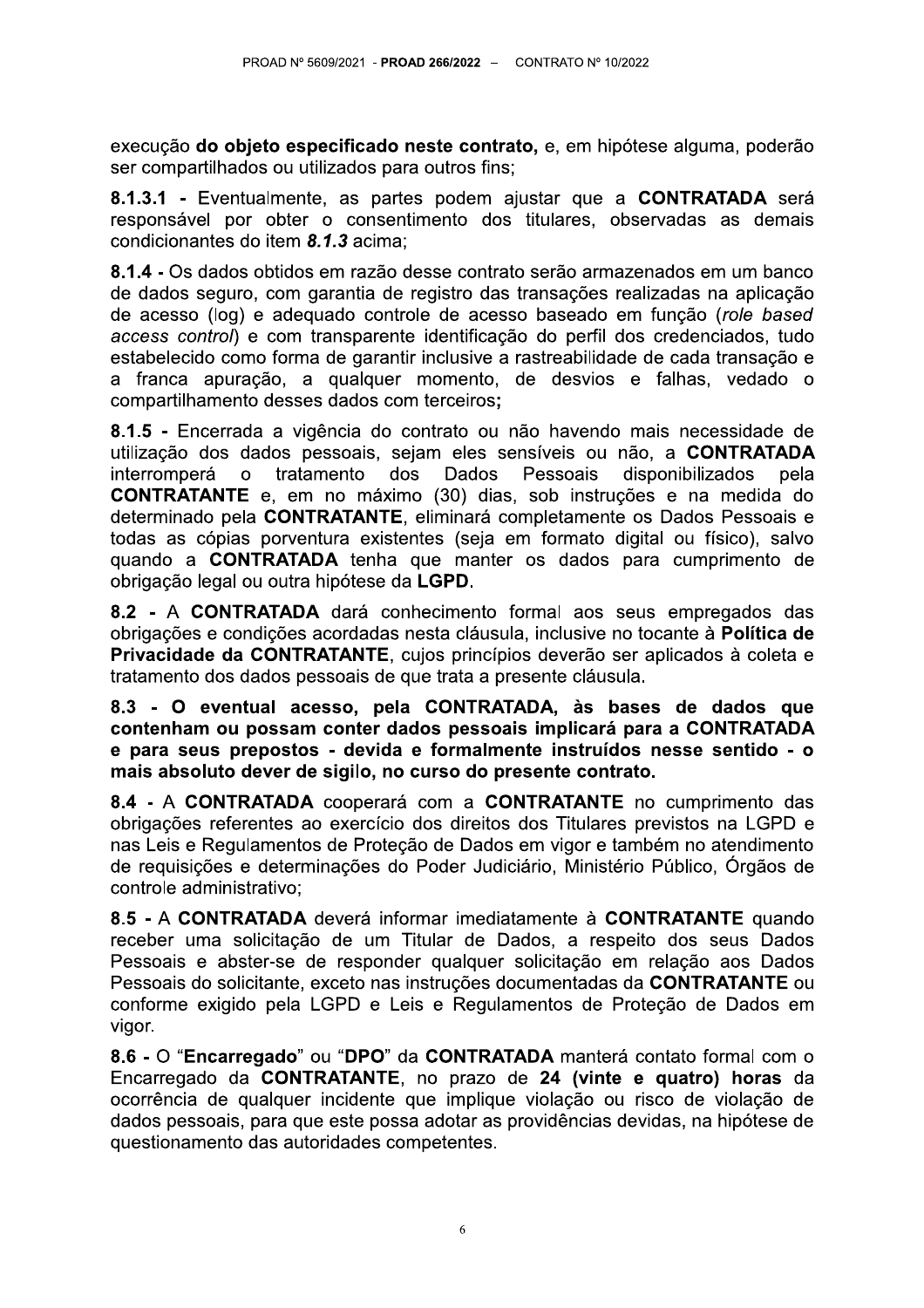execução do objeto especificado neste contrato, e, em hipótese alguma, poderão ser compartilhados ou utilizados para outros fins;

8.1.3.1 - Eventualmente, as partes podem ajustar que a CONTRATADA será responsável por obter o consentimento dos titulares, observadas as demais condicionantes do item 8.1.3 acima:

8.1.4 - Os dados obtidos em razão desse contrato serão armazenados em um banco de dados seguro, com garantia de registro das transações realizadas na aplicação de acesso (log) e adequado controle de acesso baseado em função (role based access control) e com transparente identificação do perfil dos credenciados, tudo estabelecido como forma de garantir inclusive a rastreabilidade de cada transação e a franca apuração, a qualquer momento, de desvios e falhas, vedado o compartilhamento desses dados com terceiros;

8.1.5 - Encerrada a vigência do contrato ou não havendo mais necessidade de utilização dos dados pessoais, sejam eles sensíveis ou não, a CONTRATADA tratamento interromperá  $\Omega$ dos Dados Pessoais disponibilizados pela **CONTRATANTE** e, em no máximo (30) dias, sob instruções e na medida do determinado pela CONTRATANTE, eliminará completamente os Dados Pessoais e todas as cópias porventura existentes (seja em formato digital ou físico), salvo quando a **CONTRATADA** tenha que manter os dados para cumprimento de obrigação legal ou outra hipótese da LGPD.

8.2 - A CONTRATADA dará conhecimento formal aos seus empregados das obrigações e condições acordadas nesta cláusula, inclusive no tocante à Política de Privacidade da CONTRATANTE, cujos princípios deverão ser aplicados à coleta e tratamento dos dados pessoais de que trata a presente cláusula.

8.3 - O eventual acesso, pela CONTRATADA, às bases de dados que contenham ou possam conter dados pessoais implicará para a CONTRATADA e para seus prepostos - devida e formalmente instruídos nesse sentido - o mais absoluto dever de sigilo, no curso do presente contrato.

8.4 - A CONTRATADA cooperará com a CONTRATANTE no cumprimento das obrigações referentes ao exercício dos direitos dos Titulares previstos na LGPD e nas Leis e Regulamentos de Protecão de Dados em vigor e também no atendimento de requisições e determinações do Poder Judiciário, Ministério Público, Órgãos de controle administrativo;

8.5 - A CONTRATADA deverá informar imediatamente à CONTRATANTE quando receber uma solicitação de um Titular de Dados, a respeito dos seus Dados Pessoais e abster-se de responder qualquer solicitação em relação aos Dados Pessoais do solicitante, exceto nas instruções documentadas da CONTRATANTE ou conforme exigido pela LGPD e Leis e Regulamentos de Proteção de Dados em vigor.

8.6 - O "Encarregado" ou "DPO" da CONTRATADA manterá contato formal com o Encarregado da CONTRATANTE, no prazo de 24 (vinte e quatro) horas da ocorrência de qualquer incidente que implique violação ou risco de violação de dados pessoais, para que este possa adotar as providências devidas, na hipótese de questionamento das autoridades competentes.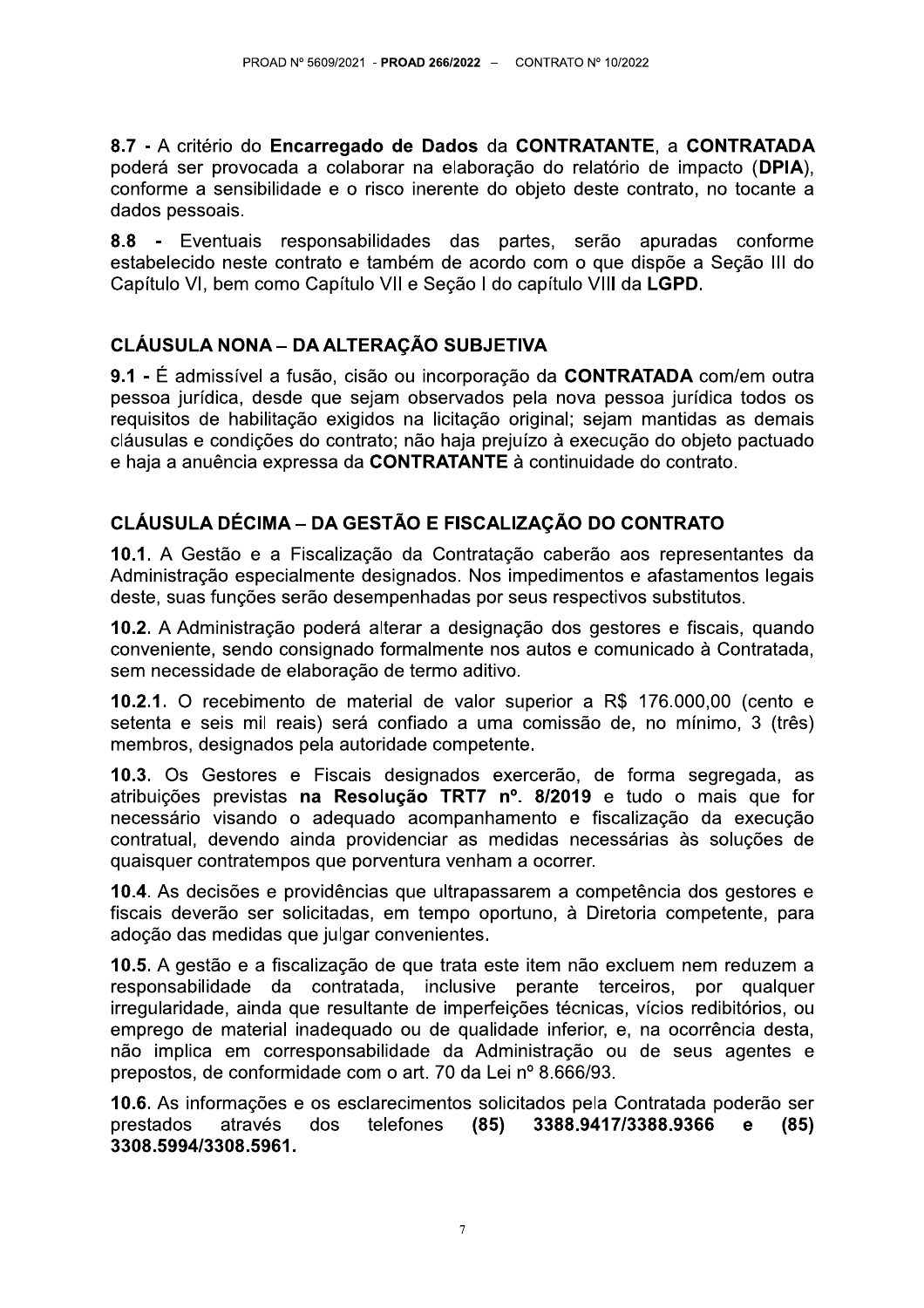8.7 - A critério do Encarregado de Dados da CONTRATANTE, a CONTRATADA poderá ser provocada a colaborar na elaboração do relatório de impacto (DPIA). conforme a sensibilidade e o risco inerente do objeto deste contrato, no tocante a dados pessoais.

8.8 - Eventuais responsabilidades das partes, serão apuradas conforme estabelecido neste contrato e também de acordo com o que dispõe a Seção III do Capítulo VI, bem como Capítulo VII e Secão I do capítulo VIII da LGPD.

# CLÁUSULA NONA – DA ALTERAÇÃO SUBJETIVA

9.1 - É admissível a fusão, cisão ou incorporação da CONTRATADA com/em outra pessoa jurídica, desde que sejam observados pela nova pessoa jurídica todos os reguisitos de habilitação exigidos na licitação original; sejam mantidas as demais cláusulas e condicões do contrato: não haia prejuízo à execução do objeto pactuado e haja a anuência expressa da CONTRATANTE à continuidade do contrato.

# CLÁUSULA DÉCIMA - DA GESTÃO E FISCALIZAÇÃO DO CONTRATO

10.1. A Gestão e a Fiscalização da Contratação caberão aos representantes da Administração especialmente designados. Nos impedimentos e afastamentos legais deste, suas funções serão desempenhadas por seus respectivos substitutos.

10.2. A Administração poderá alterar a designação dos gestores e fiscais, quando conveniente, sendo consignado formalmente nos autos e comunicado à Contratada, sem necessidade de elaboração de termo aditivo.

10.2.1. O recebimento de material de valor superior a R\$ 176.000,00 (cento e setenta e seis mil reais) será confiado a uma comissão de, no mínimo, 3 (três) membros, designados pela autoridade competente.

10.3. Os Gestores e Fiscais designados exercerão, de forma segregada, as atribuições previstas na Resolução TRT7 nº. 8/2019 e tudo o mais que for necessário visando o adequado acompanhamento e fiscalização da execução contratual, devendo ainda providenciar as medidas necessárias às soluções de quaisquer contratempos que porventura venham a ocorrer.

10.4. As decisões e providências que ultrapassarem a competência dos gestores e fiscais deverão ser solicitadas, em tempo oportuno, à Diretoria competente, para adoção das medidas que julgar convenientes.

10.5. A gestão e a fiscalização de que trata este item não excluem nem reduzem a responsabilidade da contratada, inclusive perante terceiros, por qualquer irregularidade, ainda que resultante de imperfeições técnicas, vícios redibitórios, ou emprego de material inadeguado ou de gualidade inferior, e, na ocorrência desta, não implica em corresponsabilidade da Administração ou de seus agentes e prepostos, de conformidade com o art. 70 da Lei nº 8.666/93.

10.6. As informações e os esclarecimentos solicitados pela Contratada poderão ser prestados através dos telefones  $(85)$ 3388.9417/3388.9366  $(85)$ e 3308.5994/3308.5961.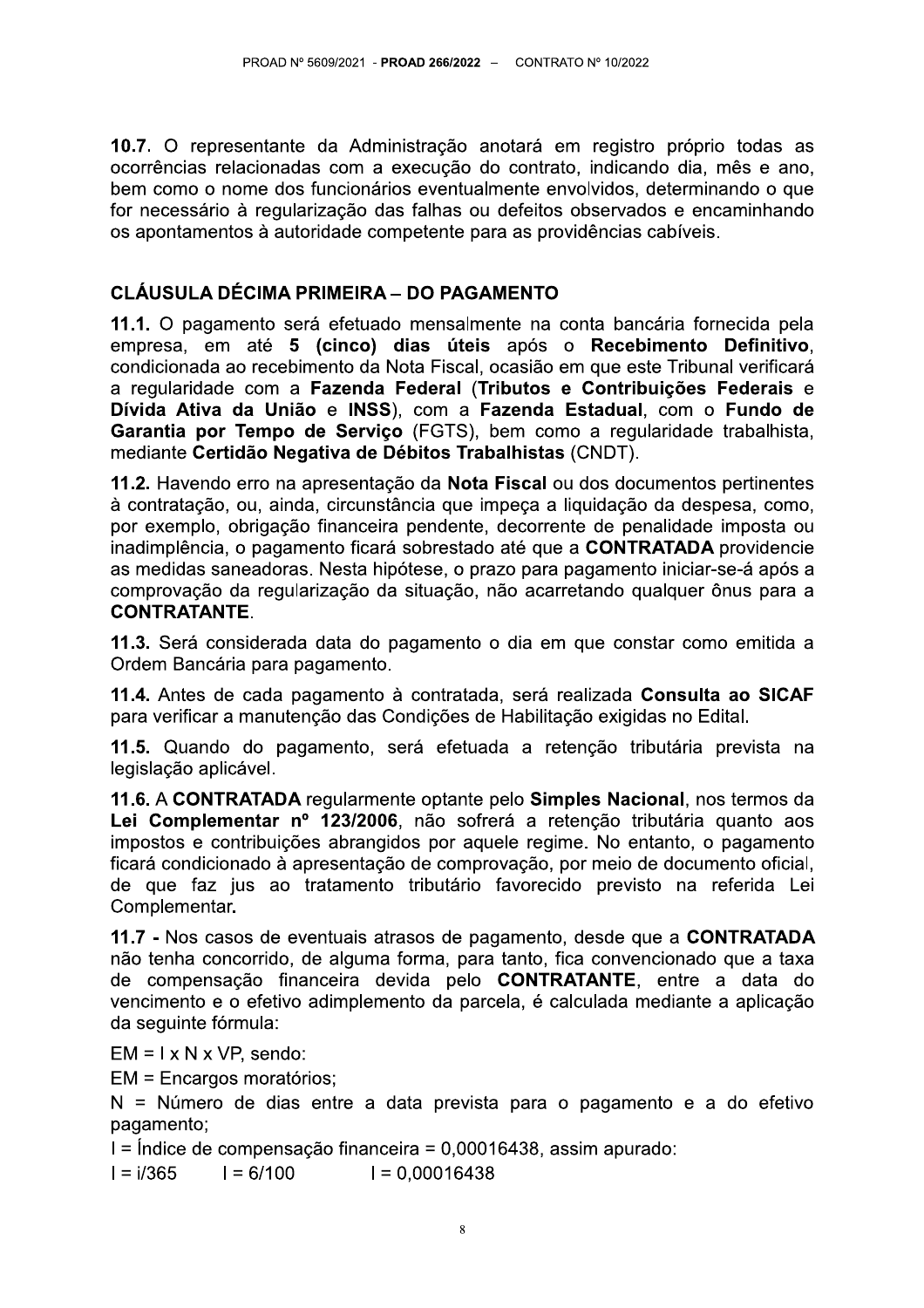10.7. O representante da Administração anotará em registro próprio todas as ocorrências relacionadas com a execução do contrato, indicando dia, mês e ano, bem como o nome dos funcionários eventualmente envolvidos, determinando o que for necessário à regularização das falhas ou defeitos observados e encaminhando os apontamentos à autoridade competente para as providências cabíveis.

# CLÁUSULA DÉCIMA PRIMEIRA – DO PAGAMENTO

11.1. O pagamento será efetuado mensalmente na conta bancária fornecida pela empresa, em até 5 (cinco) dias úteis após o Recebimento Definitivo, condicionada ao recebimento da Nota Fiscal, ocasião em que este Tribunal verificará a regularidade com a Fazenda Federal (Tributos e Contribuições Federais e Dívida Ativa da União e INSS), com a Fazenda Estadual, com o Fundo de Garantia por Tempo de Serviço (FGTS), bem como a regularidade trabalhista, mediante Certidão Negativa de Débitos Trabalhistas (CNDT).

11.2. Havendo erro na apresentação da Nota Fiscal ou dos documentos pertinentes à contratação, ou, ainda, circunstância que impeca a liquidação da despesa, como, por exemplo, obrigação financeira pendente, decorrente de penalidade imposta ou inadimplência, o pagamento ficará sobrestado até que a CONTRATADA providencie as medidas saneadoras. Nesta hipótese, o prazo para pagamento iniciar-se-á após a comprovação da regularização da situação, não acarretando qualquer ônus para a **CONTRATANTE.** 

11.3. Será considerada data do pagamento o dia em que constar como emitida a Ordem Bancária para pagamento.

11.4. Antes de cada pagamento à contratada, será realizada Consulta ao SICAF para verificar a manutenção das Condições de Habilitação exigidas no Edital.

11.5. Quando do pagamento, será efetuada a retenção tributária prevista na legislação aplicável.

11.6. A CONTRATADA regularmente optante pelo Simples Nacional, nos termos da Lei Complementar nº 123/2006, não sofrerá a retenção tributária quanto aos impostos e contribuições abrangidos por aquele regime. No entanto, o pagamento ficará condicionado à apresentação de comprovação, por meio de documento oficial, de que faz jus ao tratamento tributário favorecido previsto na referida Lei Complementar.

11.7 - Nos casos de eventuais atrasos de pagamento, desde que a CONTRATADA não tenha concorrido, de alguma forma, para tanto, fica convencionado que a taxa de compensação financeira devida pelo CONTRATANTE, entre a data do vencimento e o efetivo adimplemento da parcela, é calculada mediante a aplicação da seguinte fórmula:

 $EM = I \times N \times VP$ , sendo:

EM = Encargos moratórios;

N = Número de dias entre a data prevista para o pagamento e a do efetivo pagamento;

I = Índice de compensação financeira = 0,00016438, assim apurado:

 $I = 6/100$  $I = 0.00016438$  $I = i/365$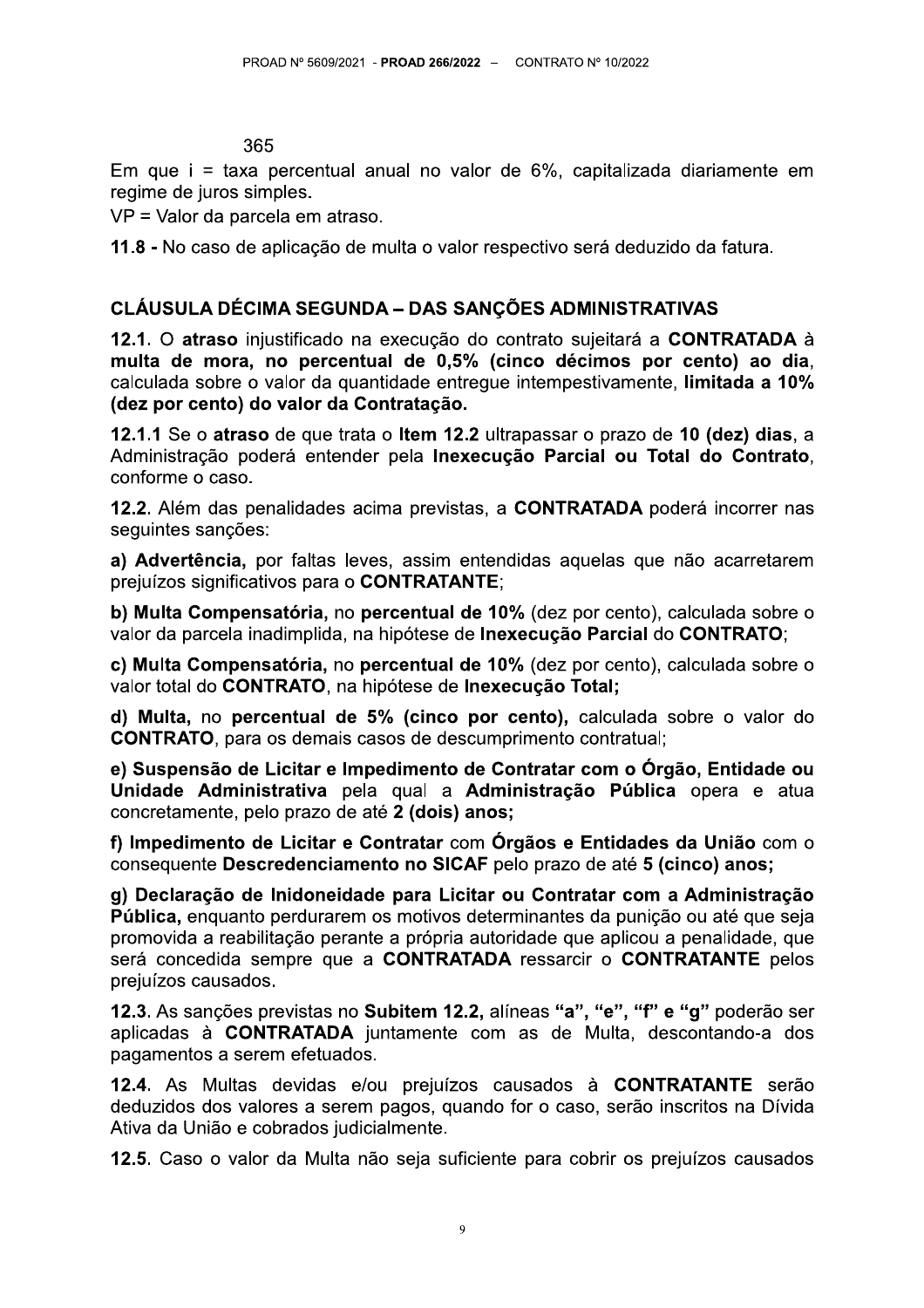365

Em que i = taxa percentual anual no valor de 6%, capitalizada diariamente em regime de juros simples.

VP = Valor da parcela em atraso.

11.8 - No caso de aplicação de multa o valor respectivo será deduzido da fatura.

## **CLÁUSULA DÉCIMA SEGUNDA – DAS SANCÕES ADMINISTRATIVAS**

12.1. O atraso injustificado na execução do contrato sujeitará a CONTRATADA à multa de mora, no percentual de 0,5% (cinco décimos por cento) ao dia, calculada sobre o valor da quantidade entregue intempestivamente, limitada a 10% (dez por cento) do valor da Contratação.

12.1.1 Se o atraso de que trata o Item 12.2 ultrapassar o prazo de 10 (dez) dias, a Administração poderá entender pela Inexecução Parcial ou Total do Contrato, conforme o caso.

12.2. Além das penalidades acima previstas, a CONTRATADA poderá incorrer nas seguintes sanções:

a) Advertência, por faltas leves, assim entendidas aquelas que não acarretarem prejuízos significativos para o CONTRATANTE;

b) Multa Compensatória, no percentual de 10% (dez por cento), calculada sobre o valor da parcela inadimplida, na hipótese de Inexecução Parcial do CONTRATO;

c) Multa Compensatória, no percentual de 10% (dez por cento), calculada sobre o valor total do CONTRATO, na hipótese de Inexecução Total;

d) Multa, no percentual de 5% (cinco por cento), calculada sobre o valor do **CONTRATO, para os demais casos de descumprimento contratual;** 

e) Suspensão de Licitar e Impedimento de Contratar com o Órgão, Entidade ou Unidade Administrativa pela qual a Administração Pública opera e atua concretamente, pelo prazo de até 2 (dois) anos;

f) Impedimento de Licitar e Contratar com Órgãos e Entidades da União com o consequente Descredenciamento no SICAF pelo prazo de até 5 (cinco) anos;

g) Declaração de Inidoneidade para Licitar ou Contratar com a Administração Pública, enquanto perdurarem os motivos determinantes da punição ou até que seja promovida a reabilitação perante a própria autoridade que aplicou a penalidade, que será concedida sempre que a CONTRATADA ressarcir o CONTRATANTE pelos prejuízos causados.

12.3. As sanções previstas no Subitem 12.2, alíneas "a", "e", "f" e "g" poderão ser aplicadas à CONTRATADA juntamente com as de Multa, descontando-a dos pagamentos a serem efetuados.

12.4. As Multas devidas e/ou prejuízos causados à CONTRATANTE serão deduzidos dos valores a serem pagos, quando for o caso, serão inscritos na Dívida Ativa da União e cobrados judicialmente.

12.5. Caso o valor da Multa não seja suficiente para cobrir os prejuízos causados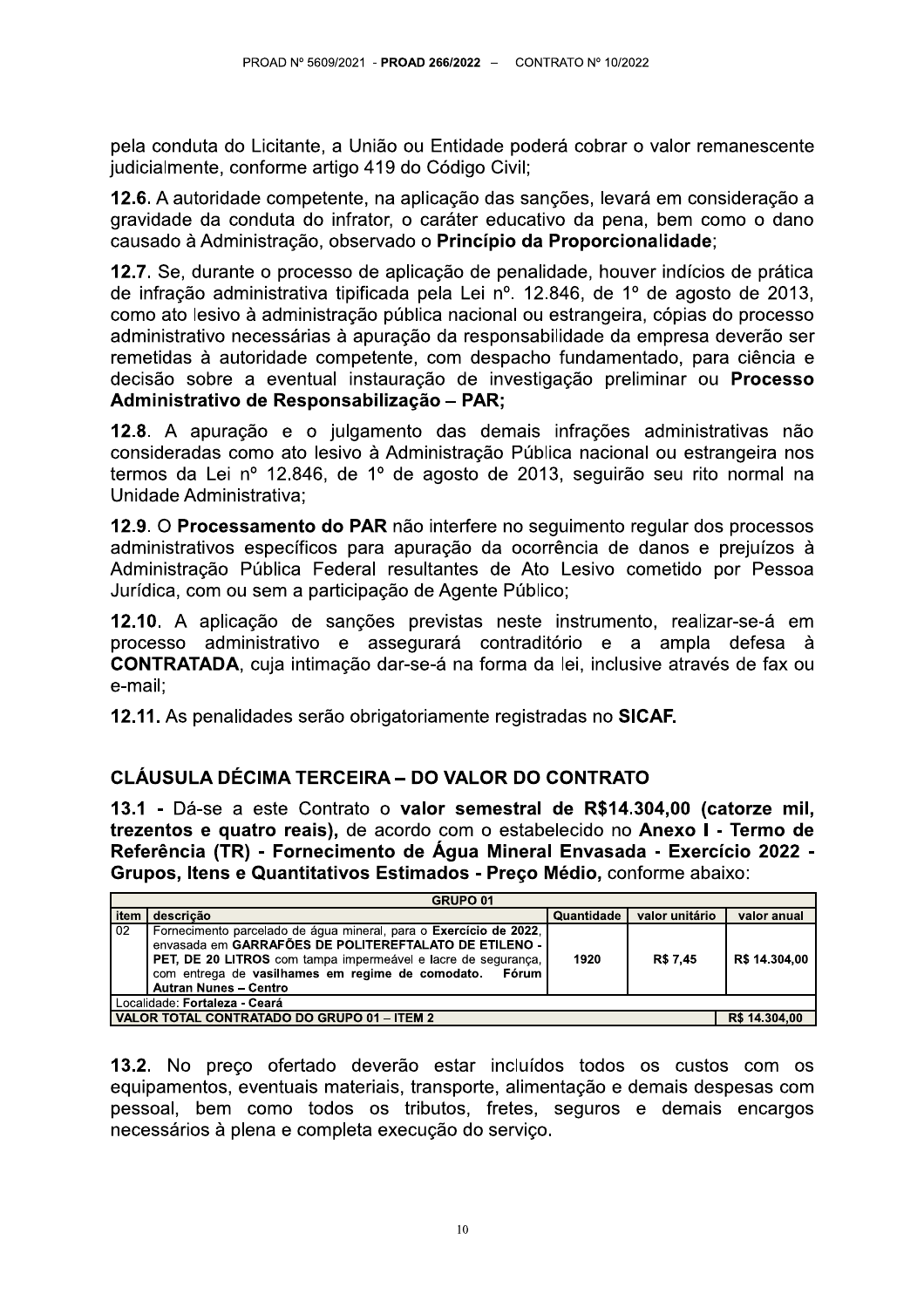pela conduta do Licitante, a União ou Entidade poderá cobrar o valor remanescente judicialmente, conforme artigo 419 do Código Civil;

12.6. A autoridade competente, na aplicação das sanções, levará em consideração a gravidade da conduta do infrator, o caráter educativo da pena, bem como o dano causado à Administração, observado o Princípio da Proporcionalidade;

12.7. Se, durante o processo de aplicação de penalidade, houver indícios de prática de infração administrativa tipificada pela Lei nº. 12.846, de 1º de agosto de 2013, como ato lesivo à administração pública nacional ou estrangeira, cópias do processo administrativo necessárias à apuração da responsabilidade da empresa deverão ser remetidas à autoridade competente, com despacho fundamentado, para ciência e decisão sobre a eventual instauração de investigação preliminar ou Processo Administrativo de Responsabilização - PAR;

12.8. A apuração e o julgamento das demais infrações administrativas não consideradas como ato lesivo à Administração Pública nacional ou estrangeira nos termos da Lei nº 12.846, de 1º de agosto de 2013, seguirão seu rito normal na Unidade Administrativa;

12.9. O Processamento do PAR não interfere no sequimento regular dos processos administrativos específicos para apuração da ocorrência de danos e prejuízos à Administração Pública Federal resultantes de Ato Lesivo cometido por Pessoa Jurídica, com ou sem a participação de Agente Público;

12.10. A aplicação de sanções previstas neste instrumento, realizar-se-á em processo administrativo e assegurará contraditório e a ampla defesa à **CONTRATADA**, cuja intimação dar-se-á na forma da lei, inclusive através de fax ou e-mail:

12.11. As penalidades serão obrigatoriamente registradas no SICAF.

# **CLÁUSULA DÉCIMA TERCEIRA – DO VALOR DO CONTRATO**

13.1 - Dá-se a este Contrato o valor semestral de R\$14.304.00 (catorze mil. trezentos e quatro reais), de acordo com o estabelecido no Anexo I - Termo de Referência (TR) - Fornecimento de Água Mineral Envasada - Exercício 2022 -Grupos, Itens e Quantitativos Estimados - Preço Médio, conforme abaixo:

| GRUPO <sub>01</sub>                         |                                                                                                                                                                                                                                                                                          |            |                |               |
|---------------------------------------------|------------------------------------------------------------------------------------------------------------------------------------------------------------------------------------------------------------------------------------------------------------------------------------------|------------|----------------|---------------|
| item                                        | descricão                                                                                                                                                                                                                                                                                | Quantidade | valor unitário | valor anual   |
| 02                                          | Fornecimento parcelado de água mineral, para o Exercício de 2022,<br>envasada em GARRAFÕES DE POLITEREFTALATO DE ETILENO -<br>PET, DE 20 LITROS com tampa impermeável e lacre de segurança,<br>com entrega de vasilhames em regime de comodato.<br>Fórum<br><b>Autran Nunes - Centro</b> | 1920       | R\$ 7.45       | R\$ 14.304,00 |
| Localidade: Fortaleza - Ceará               |                                                                                                                                                                                                                                                                                          |            |                |               |
| VALOR TOTAL CONTRATADO DO GRUPO 01 - ITEM 2 |                                                                                                                                                                                                                                                                                          |            |                | R\$ 14.304,00 |

13.2. No preco ofertado deverão estar incluídos todos os custos com os equipamentos, eventuais materiais, transporte, alimentação e demais despesas com pessoal, bem como todos os tributos, fretes, seguros e demais encargos necessários à plena e completa execução do serviço.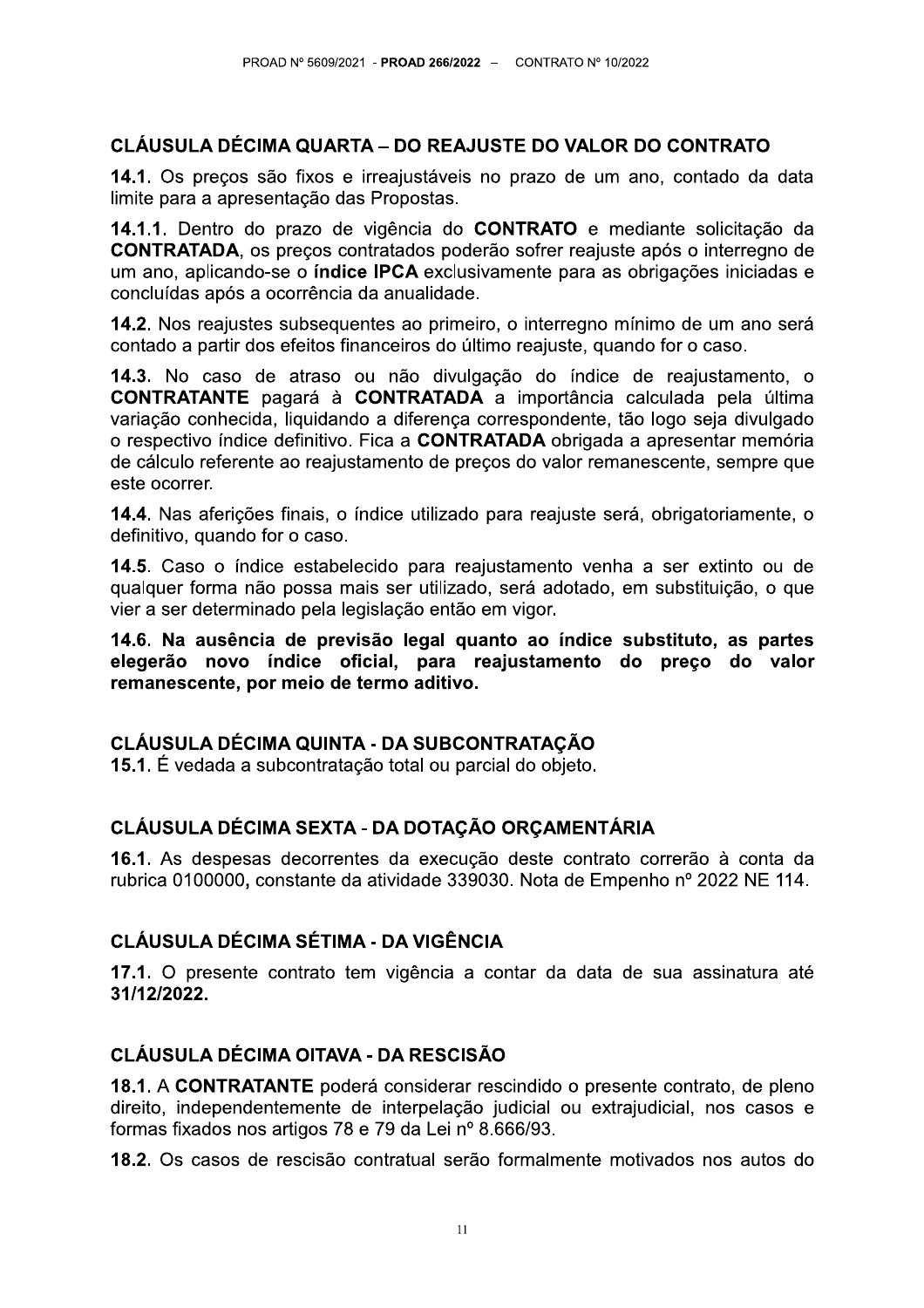14.1. Os preços são fixos e irreajustáveis no prazo de um ano, contado da data limite para a apresentação das Propostas.

PROAD N° 5609/2021 - PROAD 266/2022 – CONTRATO N° 10/2022<br> **CLÁUSULA DÉCIMA QUARTA – DO REAJUSTE DO VALOR DO CONTRATO**<br>
14.1. Os preços são fixos e irreajustáveis no prazo de um ano, contado da da<br>
limite para a apresentaç 14.1.1. Dentro do prazo de vigência do CONTRATO e mediante solicitação da CONTRATADA, os preços contratados poderão sofrer reajuste após o interregno de um ano, aplicando-se o **índice IPCA** exclusivamente para as obrigações iniciadas e concluídas após a ocorrência da anualidade.

14.2. Nos reajustes subsequentes ao primeiro, o interregno mínimo de um ano será  $\epsilon$ contado a partir dos efeitos financeiros do último reajuste, quando for o caso.

14.3. No caso de atraso ou não divulgação do índice de reajustamento, o **CONTRATANTE** pagará à **CONTRATADA** a importância calculada pela última variação conhecida, liquidando a diferença correspondente, tão logo seja divulgado o respectivo índice definitivo. Fica a **CONTRATADA** obrigada a apresentar memória de cálculo referente ao reajustamento de precos do valor remanescente, sempre que este ocorrer.

14.4. Nas aferições finais, o índice utilizado para reajuste será, obrigatoriamente, o definitivo, quando for o caso.

14.5. Caso o índice estabelecido para reajustamento venha a ser extinto ou de qualquer forma não possa mais ser utilizado, será adotado, em substituição, o que vier a ser determinado pela legislação então em vigor.

14.6. Na ausência de previsão legal quanto ao índice substituto, as partes elegerão novo índice oficial, para reajustamento do preço do valor remanescente, por meio de termo aditivo.

# CLÁUSULA DÉCIMA QUINTA - DA SUBCONTRATACÃO

15.1. É vedada a subcontratação total ou parcial do objeto.

# CLÁUSULA DÉCIMA SEXTA - DA DOTAÇÃO ORÇAMENTÁRIA

16.1. As despesas decorrentes da execução deste contrato correrão à conta da rubrica 0100000, constante da atividade 339030. Nota de Empenho nº 2022 NE 114.

# CLÁUSULA DÉCIMA SÉTIMA - DA VIGÊNCIA

17.1. O presente contrato tem vigencia a contar da data de sua assinatura até 31/12/2022.

# CLÁUSULA DÉCIMA OITAVA - DA RESCISÃO

18.1. A CONTRATANTE poderá considerar rescindido o presente contrato, de pleno direito, independentemente de interpelação judicial ou extrajudicial, nos casos e formas fixados nos artigos 78 e 79 da Lei nº 8.666/93.

18.2. Os casos de rescisão contratual serão formalmente motivados nos autos do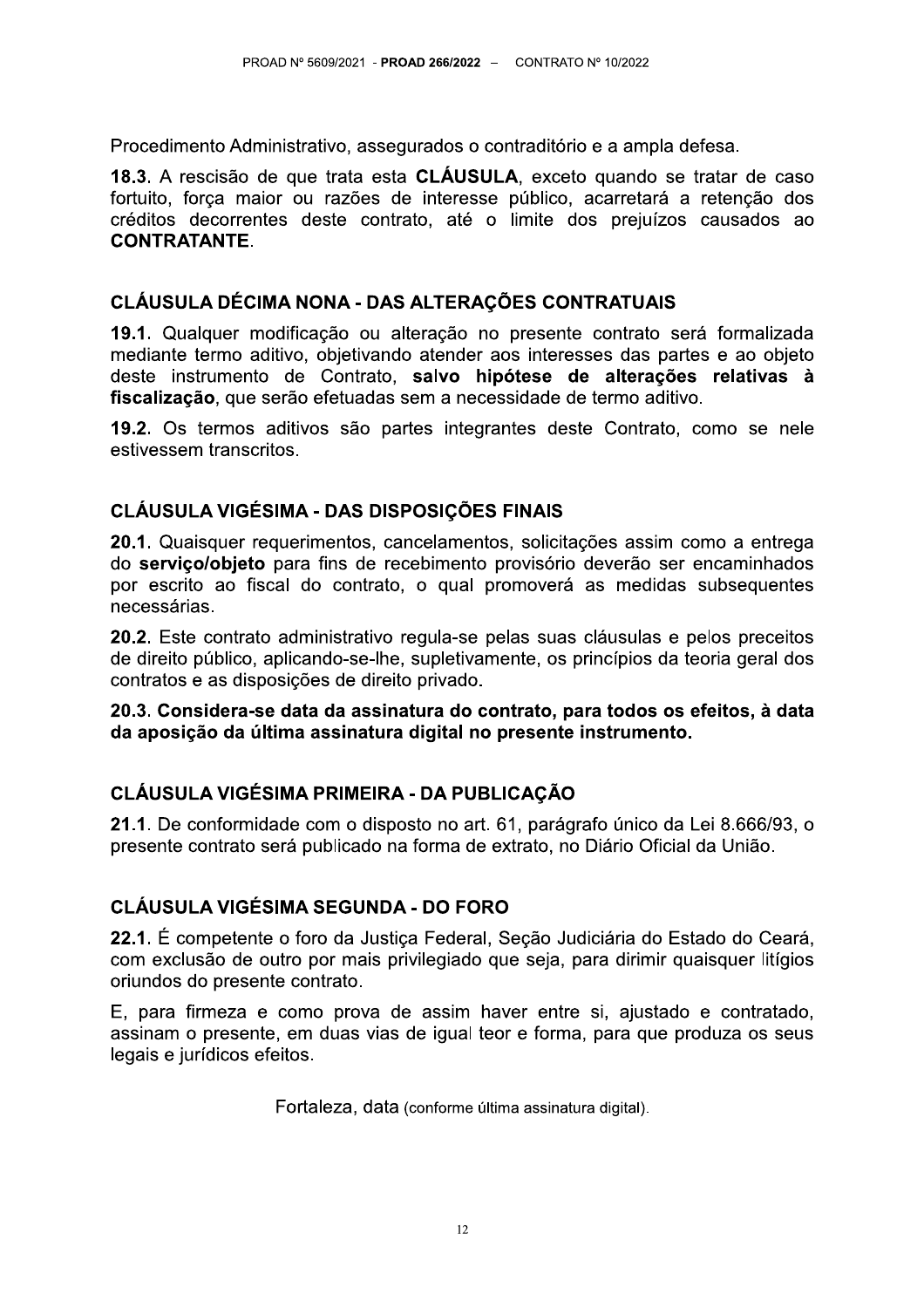Procedimento Administrativo, assegurados o contraditório e a ampla defesa.

18.3. A rescisão de que trata esta CLÁUSULA, exceto quando se tratar de caso fortuito, força maior ou razões de interesse público, acarretará a retenção dos créditos decorrentes deste contrato, até o limite dos prejuízos causados ao **CONTRATANTE.** 

## CLÁUSULA DÉCIMA NONA - DAS ALTERAÇÕES CONTRATUAIS

19.1. Qualquer modificação ou alteração no presente contrato será formalizada mediante termo aditivo, objetivando atender aos interesses das partes e ao objeto deste instrumento de Contrato, salvo hipótese de alterações relativas à fiscalização, que serão efetuadas sem a necessidade de termo aditivo.

19.2. Os termos aditivos são partes integrantes deste Contrato, como se nele estivessem transcritos.

# **CLÁUSULA VIGÉSIMA - DAS DISPOSICÕES FINAIS**

20.1. Quaisquer requerimentos, cancelamentos, solicitações assim como a entrega do serviço/objeto para fins de recebimento provisório deverão ser encaminhados por escrito ao fiscal do contrato, o qual promoverá as medidas subsequentes necessárias.

20.2. Este contrato administrativo regula-se pelas suas cláusulas e pelos preceitos de direito público, aplicando-se-lhe, supletivamente, os princípios da teoria geral dos contratos e as disposições de direito privado.

## 20.3. Considera-se data da assinatura do contrato, para todos os efeitos, à data da aposição da última assinatura digital no presente instrumento.

# **CLÁUSULA VIGÉSIMA PRIMEIRA - DA PUBLICAÇÃO**

21.1. De conformidade com o disposto no art. 61, parágrafo único da Lei 8.666/93, o presente contrato será publicado na forma de extrato, no Diário Oficial da União.

# **CLÁUSULA VIGÉSIMA SEGUNDA - DO FORO**

22.1. É competente o foro da Justica Federal, Secão Judiciária do Estado do Ceará, com exclusão de outro por mais privilegiado que seja, para dirimir quaisquer litígios oriundos do presente contrato.

E, para firmeza e como prova de assim haver entre si, ajustado e contratado, assinam o presente, em duas vias de joual teor e forma, para que produza os seus legais e jurídicos efeitos.

Fortaleza, data (conforme última assinatura digital).